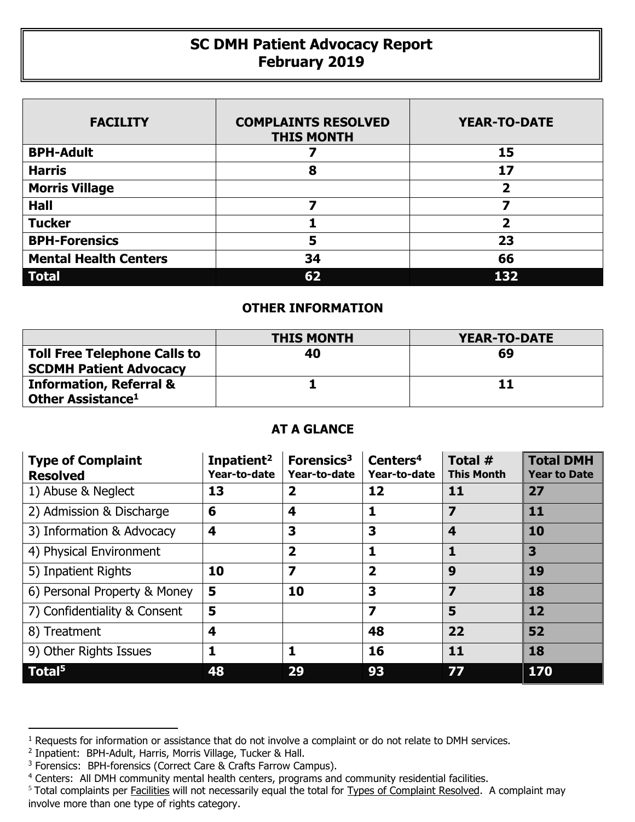## **SC DMH Patient Advocacy Report February 2019**

| <b>FACILITY</b>              | <b>COMPLAINTS RESOLVED</b><br><b>THIS MONTH</b> | <b>YEAR-TO-DATE</b>     |
|------------------------------|-------------------------------------------------|-------------------------|
| <b>BPH-Adult</b>             |                                                 | 15                      |
| <b>Harris</b>                | 8                                               | 17                      |
| <b>Morris Village</b>        |                                                 | 2                       |
| <b>Hall</b>                  |                                                 |                         |
| <b>Tucker</b>                |                                                 | $\overline{\mathbf{2}}$ |
| <b>BPH-Forensics</b>         | 5                                               | 23                      |
| <b>Mental Health Centers</b> | 34                                              | 66                      |
| <b>Total</b>                 | 62                                              | 132                     |

## **OTHER INFORMATION**

|                                                                     | <b>THIS MONTH</b> | YEAR-TO-DATE |
|---------------------------------------------------------------------|-------------------|--------------|
| <b>Toll Free Telephone Calls to</b>                                 | 40                | 69           |
| <b>SCDMH Patient Advocacy</b><br><b>Information, Referral &amp;</b> |                   | 11           |
| Other Assistance <sup>1</sup>                                       |                   |              |

## **AT A GLANCE**

| <b>Type of Complaint</b><br><b>Resolved</b> | Inpatient <sup>2</sup><br>Year-to-date | Forensics <sup>3</sup><br>Year-to-date | Centers <sup>4</sup><br>Year-to-date | Total #<br><b>This Month</b> | <b>Total DMH</b><br><b>Year to Date</b> |
|---------------------------------------------|----------------------------------------|----------------------------------------|--------------------------------------|------------------------------|-----------------------------------------|
| 1) Abuse & Neglect                          | 13                                     | $\overline{\mathbf{2}}$                | 12                                   | 11                           | 27                                      |
| 2) Admission & Discharge                    | 6                                      | 4                                      | 1                                    | $\overline{\mathbf{z}}$      | 11                                      |
| 3) Information & Advocacy                   | 4                                      | 3                                      | 3                                    | 4                            | 10                                      |
| 4) Physical Environment                     |                                        | $\overline{\mathbf{2}}$                | 1                                    | 1                            | 3                                       |
| 5) Inpatient Rights                         | 10                                     | $\overline{\mathbf{z}}$                | $\overline{\mathbf{2}}$              | 9                            | 19                                      |
| 6) Personal Property & Money                | 5                                      | 10                                     | 3                                    | 7                            | 18                                      |
| 7) Confidentiality & Consent                | 5                                      |                                        | $\overline{\mathbf{z}}$              | 5                            | 12                                      |
| 8) Treatment                                | 4                                      |                                        | 48                                   | 22                           | 52                                      |
| 9) Other Rights Issues                      | 1                                      | 1                                      | 16                                   | 11                           | 18                                      |
| Total <sup>5</sup>                          | 48                                     | 29                                     | 93                                   | 77                           | 170                                     |

 $\overline{a}$ 

<sup>&</sup>lt;sup>1</sup> Requests for information or assistance that do not involve a complaint or do not relate to DMH services.

<sup>2</sup> Inpatient: BPH-Adult, Harris, Morris Village, Tucker & Hall.

<sup>&</sup>lt;sup>3</sup> Forensics: BPH-forensics (Correct Care & Crafts Farrow Campus).

<sup>&</sup>lt;sup>4</sup> Centers: All DMH community mental health centers, programs and community residential facilities.

<sup>&</sup>lt;sup>5</sup> Total complaints per Facilities will not necessarily equal the total for Types of Complaint Resolved. A complaint may involve more than one type of rights category.